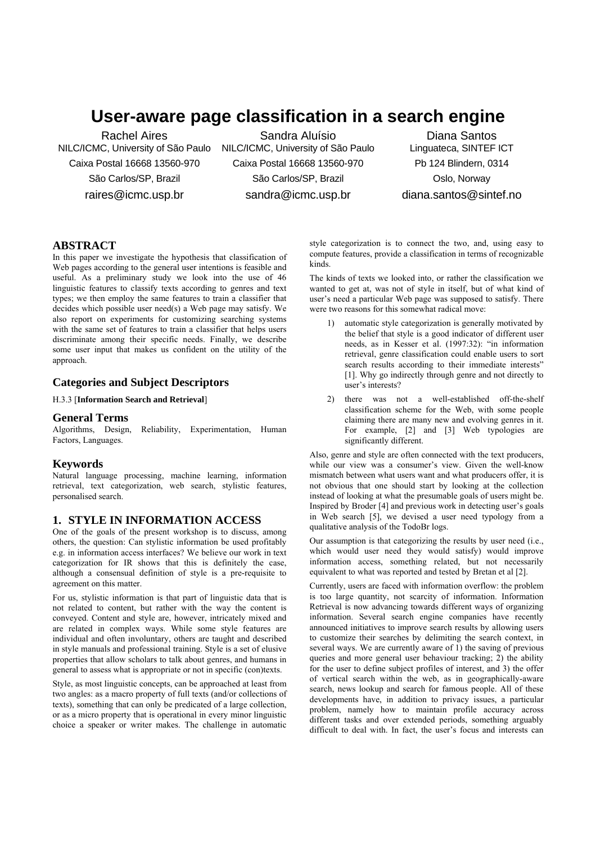# **User-aware page classification in a search engine**

Rachel Aires NILC/ICMC, University of São Paulo Caixa Postal 16668 13560-970 São Carlos/SP, Brazil raires@icmc.usp.br

Sandra Aluísio NILC/ICMC, University of São Paulo Caixa Postal 16668 13560-970 São Carlos/SP, Brazil sandra@icmc.usp.br

Diana Santos Linguateca, SINTEF ICT Pb 124 Blindern, 0314 Oslo, Norway diana.santos@sintef.no

# **ABSTRACT**

In this paper we investigate the hypothesis that classification of Web pages according to the general user intentions is feasible and useful. As a preliminary study we look into the use of 46 linguistic features to classify texts according to genres and text types; we then employ the same features to train a classifier that decides which possible user need(s) a Web page may satisfy. We also report on experiments for customizing searching systems with the same set of features to train a classifier that helps users discriminate among their specific needs. Finally, we describe some user input that makes us confident on the utility of the approach.

# **Categories and Subject Descriptors**

H.3.3 [**Information Search and Retrieval**]

### **General Terms**

Algorithms, Design, Reliability, Experimentation, Human Factors, Languages.

### **Keywords**

Natural language processing, machine learning, information retrieval, text categorization, web search, stylistic features, personalised search.

## **1. STYLE IN INFORMATION ACCESS**

One of the goals of the present workshop is to discuss, among others, the question: Can stylistic information be used profitably e.g. in information access interfaces? We believe our work in text categorization for IR shows that this is definitely the case, although a consensual definition of style is a pre-requisite to agreement on this matter.

For us, stylistic information is that part of linguistic data that is not related to content, but rather with the way the content is conveyed. Content and style are, however, intricately mixed and are related in complex ways. While some style features are individual and often involuntary, others are taught and described in style manuals and professional training. Style is a set of elusive properties that allow scholars to talk about genres, and humans in general to assess what is appropriate or not in specific (con)texts.

Style, as most linguistic concepts, can be approached at least from two angles: as a macro property of full texts (and/or collections of texts), something that can only be predicated of a large collection, or as a micro property that is operational in every minor linguistic choice a speaker or writer makes. The challenge in automatic style categorization is to connect the two, and, using easy to compute features, provide a classification in terms of recognizable kinds.

The kinds of texts we looked into, or rather the classification we wanted to get at, was not of style in itself, but of what kind of user's need a particular Web page was supposed to satisfy. There were two reasons for this somewhat radical move:

- 1) automatic style categorization is generally motivated by the belief that style is a good indicator of different user needs, as in Kesser et al. (1997:32): "in information retrieval, genre classification could enable users to sort search results according to their immediate interests" [1]. Why go indirectly through genre and not directly to user's interests?
- 2) there was not a well-established off-the-shelf classification scheme for the Web, with some people claiming there are many new and evolving genres in it. For example, [2] and [3] Web typologies are significantly different.

Also, genre and style are often connected with the text producers, while our view was a consumer's view. Given the well-know mismatch between what users want and what producers offer, it is not obvious that one should start by looking at the collection instead of looking at what the presumable goals of users might be. Inspired by Broder [4] and previous work in detecting user's goals in Web search [5], we devised a user need typology from a qualitative analysis of the TodoBr logs.

Our assumption is that categorizing the results by user need (i.e., which would user need they would satisfy) would improve information access, something related, but not necessarily equivalent to what was reported and tested by Bretan et al [2].

Currently, users are faced with information overflow: the problem is too large quantity, not scarcity of information. Information Retrieval is now advancing towards different ways of organizing information. Several search engine companies have recently announced initiatives to improve search results by allowing users to customize their searches by delimiting the search context, in several ways. We are currently aware of 1) the saving of previous queries and more general user behaviour tracking; 2) the ability for the user to define subject profiles of interest, and 3) the offer of vertical search within the web, as in geographically-aware search, news lookup and search for famous people. All of these developments have, in addition to privacy issues, a particular problem, namely how to maintain profile accuracy across different tasks and over extended periods, something arguably difficult to deal with. In fact, the user's focus and interests can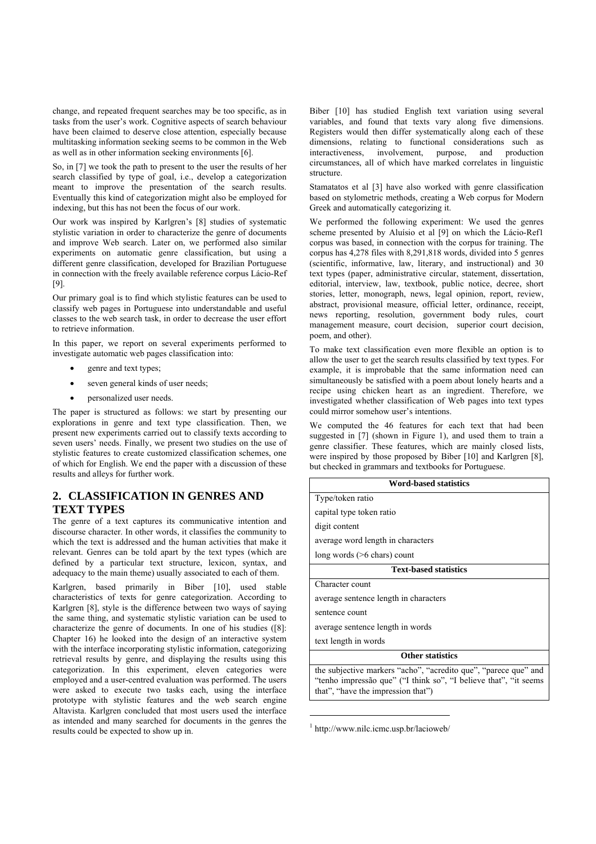change, and repeated frequent searches may be too specific, as in tasks from the user's work. Cognitive aspects of search behaviour have been claimed to deserve close attention, especially because multitasking information seeking seems to be common in the Web as well as in other information seeking environments [6].

So, in [7] we took the path to present to the user the results of her search classified by type of goal, i.e., develop a categorization meant to improve the presentation of the search results. Eventually this kind of categorization might also be employed for indexing, but this has not been the focus of our work.

Our work was inspired by Karlgren's [8] studies of systematic stylistic variation in order to characterize the genre of documents and improve Web search. Later on, we performed also similar experiments on automatic genre classification, but using a different genre classification, developed for Brazilian Portuguese in connection with the freely available reference corpus Lácio-Ref [9].

Our primary goal is to find which stylistic features can be used to classify web pages in Portuguese into understandable and useful classes to the web search task, in order to decrease the user effort to retrieve information.

In this paper, we report on several experiments performed to investigate automatic web pages classification into:

- genre and text types;
- seven general kinds of user needs;
- personalized user needs.

The paper is structured as follows: we start by presenting our explorations in genre and text type classification. Then, we present new experiments carried out to classify texts according to seven users' needs. Finally, we present two studies on the use of stylistic features to create customized classification schemes, one of which for English. We end the paper with a discussion of these results and alleys for further work.

# **2. CLASSIFICATION IN GENRES AND TEXT TYPES**

The genre of a text captures its communicative intention and discourse character. In other words, it classifies the community to which the text is addressed and the human activities that make it relevant. Genres can be told apart by the text types (which are defined by a particular text structure, lexicon, syntax, and adequacy to the main theme) usually associated to each of them.

Karlgren, based primarily in Biber [10], used stable characteristics of texts for genre categorization. According to Karlgren [8], style is the difference between two ways of saying the same thing, and systematic stylistic variation can be used to characterize the genre of documents. In one of his studies ([8]: Chapter 16) he looked into the design of an interactive system with the interface incorporating stylistic information, categorizing retrieval results by genre, and displaying the results using this categorization. In this experiment, eleven categories were employed and a user-centred evaluation was performed. The users were asked to execute two tasks each, using the interface prototype with stylistic features and the web search engine Altavista. Karlgren concluded that most users used the interface as intended and many searched for documents in the genres the results could be expected to show up in.

Biber [10] has studied English text variation using several variables, and found that texts vary along five dimensions. Registers would then differ systematically along each of these dimensions, relating to functional considerations such as interactiveness, involvement, purpose, and production interactiveness, involvement, purpose, and circumstances, all of which have marked correlates in linguistic structure.

Stamatatos et al [3] have also worked with genre classification based on stylometric methods, creating a Web corpus for Modern Greek and automatically categorizing it.

We performed the following experiment: We used the genres scheme presented by Aluísio et al [9] on which the Lácio-Ref1 corpus was based, in connection with the corpus for training. The corpus has 4,278 files with 8,291,818 words, divided into 5 genres (scientific, informative, law, literary, and instructional) and 30 text types (paper, administrative circular, statement, dissertation, editorial, interview, law, textbook, public notice, decree, short stories, letter, monograph, news, legal opinion, report, review, abstract, provisional measure, official letter, ordinance, receipt, news reporting, resolution, government body rules, court management measure, court decision, superior court decision, poem, and other).

To make text classification even more flexible an option is to allow the user to get the search results classified by text types. For example, it is improbable that the same information need can simultaneously be satisfied with a poem about lonely hearts and a recipe using chicken heart as an ingredient. Therefore, we investigated whether classification of Web pages into text types could mirror somehow user's intentions.

We computed the 46 features for each text that had been suggested in [7] (shown in Figure 1), and used them to train a genre classifier. These features, which are mainly closed lists, were inspired by those proposed by Biber [10] and Karlgren [8], but checked in grammars and textbooks for Portuguese.

| <b>Word-based statistics</b>                                                                                                                                                |  |  |
|-----------------------------------------------------------------------------------------------------------------------------------------------------------------------------|--|--|
| Type/token ratio                                                                                                                                                            |  |  |
| capital type token ratio                                                                                                                                                    |  |  |
| digit content                                                                                                                                                               |  |  |
| average word length in characters                                                                                                                                           |  |  |
| $long words (>6 \text{ chars}) \text{ count}$                                                                                                                               |  |  |
| <b>Text-based statistics</b>                                                                                                                                                |  |  |
| Character count                                                                                                                                                             |  |  |
| average sentence length in characters                                                                                                                                       |  |  |
| sentence count                                                                                                                                                              |  |  |
| average sentence length in words                                                                                                                                            |  |  |
| text length in words                                                                                                                                                        |  |  |
| <b>Other statistics</b>                                                                                                                                                     |  |  |
| the subjective markers "acho", "acredito que", "parece que" and<br>"tenho impressão que" ("I think so", "I believe that", "it seems")<br>that", "have the impression that") |  |  |

1 http://www.nilc.icmc.usp.br/lacioweb/

l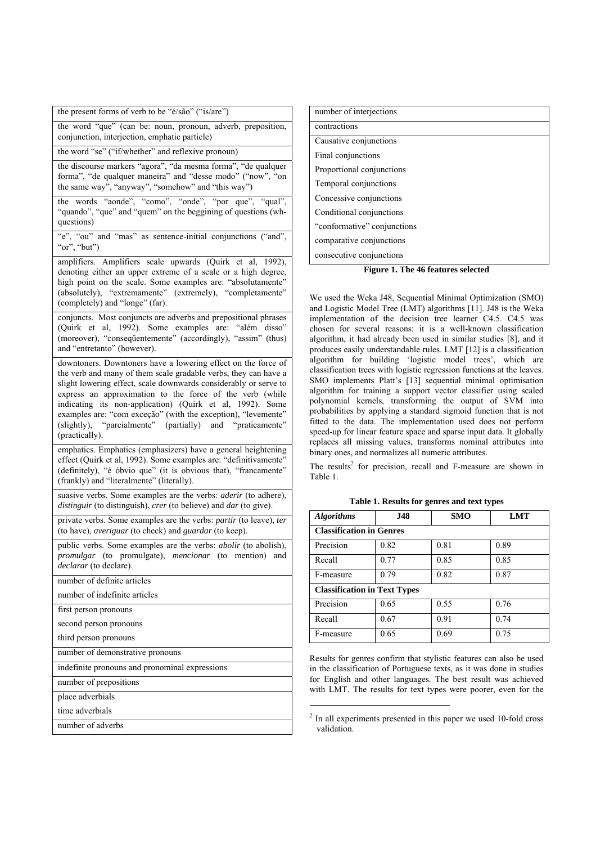| the present forms of verb to be "é/são" ("is/are")                                                                                                                                                                                                                                                                                                                                                                                                                            |
|-------------------------------------------------------------------------------------------------------------------------------------------------------------------------------------------------------------------------------------------------------------------------------------------------------------------------------------------------------------------------------------------------------------------------------------------------------------------------------|
| the word "que" (can be: noun, pronoun, adverb, preposition,<br>conjunction, interjection, emphatic particle)                                                                                                                                                                                                                                                                                                                                                                  |
| the word "se" ("if/whether" and reflexive pronoun)                                                                                                                                                                                                                                                                                                                                                                                                                            |
| the discourse markers "agora", "da mesma forma", "de qualquer<br>forma", "de qualquer maneira" and "desse modo" ("now", "on<br>the same way", "anyway", "somehow" and "this way")                                                                                                                                                                                                                                                                                             |
| the words "aonde", "como", "onde", "por que", "qual",<br>"quando", "que" and "quem" on the beggining of questions (wh-<br>questions)                                                                                                                                                                                                                                                                                                                                          |
| "e", "ou" and "mas" as sentence-initial conjunctions ("and",<br>"or", "but")                                                                                                                                                                                                                                                                                                                                                                                                  |
| amplifiers. Amplifiers scale upwards (Quirk et al, 1992),<br>denoting either an upper extreme of a scale or a high degree,<br>high point on the scale. Some examples are: "absolutamente"<br>(absolutely), "extremamente" (extremely), "completamente"<br>(completely) and "longe" (far).                                                                                                                                                                                     |
| conjuncts. Most conjuncts are adverbs and prepositional phrases<br>(Quirk et al, 1992). Some examples are: "além disso"<br>(moreover), "consequentemente" (accordingly), "assim" (thus)<br>and "entretanto" (however).                                                                                                                                                                                                                                                        |
| downtoners. Downtoners have a lowering effect on the force of<br>the verb and many of them scale gradable verbs, they can have a<br>slight lowering effect, scale downwards considerably or serve to<br>express an approximation to the force of the verb (while<br>indicating its non-application) (Quirk et al, 1992). Some<br>examples are: "com exceção" (with the exception), "levemente"<br>(slightly), "parcialmente" (partially) and "praticamente"<br>(practically). |
| emphatics. Emphatics (emphasizers) have a general heightening<br>effect (Quirk et al, 1992). Some examples are: "definitivamente"<br>(definitely), "é óbvio que" (it is obvious that), "francamente"<br>(frankly) and "literalmente" (literally).                                                                                                                                                                                                                             |
| suasive verbs. Some examples are the verbs: <i>aderir</i> (to adhere),<br>distinguir (to distinguish), crer (to believe) and dar (to give).                                                                                                                                                                                                                                                                                                                                   |
| private verbs. Some examples are the verbs: partir (to leave), ter<br>(to have), averiguar (to check) and guardar (to keep).                                                                                                                                                                                                                                                                                                                                                  |
| public verbs. Some examples are the verbs: <i>abolir</i> (to abolish),<br>promulgar (to promulgate), mencionar (to mention)<br>and<br>declarar (to declare).                                                                                                                                                                                                                                                                                                                  |
| number of definite articles                                                                                                                                                                                                                                                                                                                                                                                                                                                   |
| number of indefinite articles                                                                                                                                                                                                                                                                                                                                                                                                                                                 |
| first person pronouns                                                                                                                                                                                                                                                                                                                                                                                                                                                         |
| second person pronouns                                                                                                                                                                                                                                                                                                                                                                                                                                                        |
| third person pronouns                                                                                                                                                                                                                                                                                                                                                                                                                                                         |
| number of demonstrative pronouns                                                                                                                                                                                                                                                                                                                                                                                                                                              |
| indefinite pronouns and pronominal expressions                                                                                                                                                                                                                                                                                                                                                                                                                                |
| number of prepositions                                                                                                                                                                                                                                                                                                                                                                                                                                                        |
| place adverbials                                                                                                                                                                                                                                                                                                                                                                                                                                                              |
| time adverbials                                                                                                                                                                                                                                                                                                                                                                                                                                                               |
| number of adverbs                                                                                                                                                                                                                                                                                                                                                                                                                                                             |

| number of interjections     |
|-----------------------------|
| contractions                |
| Causative conjunctions      |
| Final conjunctions          |
| Proportional conjunctions   |
| Temporal conjunctions       |
| Concessive conjunctions     |
| Conditional conjunctions    |
| "conformative" conjunctions |
| comparative conjunctions    |
| consecutive conjunctions    |

**Figure 1. The 46 features selected** 

We used the Weka J48, Sequential Minimal Optimization (SMO) and Logistic Model Tree (LMT) algorithms [11]. J48 is the Weka implementation of the decision tree learner C4.5. C4.5 was chosen for several reasons: it is a well-known classification algorithm, it had already been used in similar studies [8], and it produces easily understandable rules. LMT [12] is a classification algorithm for building 'logistic model trees', which are classification trees with logistic regression functions at the leaves. SMO implements Platt's [13] sequential minimal optimisation algorithm for training a support vector classifier using scaled polynomial kernels, transforming the output of SVM into probabilities by applying a standard sigmoid function that is not fitted to the data. The implementation used does not perform speed-up for linear feature space and sparse input data. It globally replaces all missing values, transforms nominal attributes into binary ones, and normalizes all numeric attributes.

The results<sup>2</sup> for precision, recall and F-measure are shown in Table 1.

| <b>Algorithms</b>                   | <b>J48</b> | <b>SMO</b> | LMT  |
|-------------------------------------|------------|------------|------|
| <b>Classification in Genres</b>     |            |            |      |
| Precision                           | 0.82       | 0.81       | 0.89 |
| Recall                              | 0.77       | 0.85       | 0.85 |
| F-measure                           | 0.79       | 0.82       | 0.87 |
| <b>Classification in Text Types</b> |            |            |      |
| Precision                           | 0.65       | 0.55       | 0.76 |
| Recall                              | 0.67       | 0.91       | 0.74 |
| F-measure                           | 0.65       | 0.69       | 0.75 |

Results for genres confirm that stylistic features can also be used in the classification of Portuguese texts, as it was done in studies for English and other languages. The best result was achieved with LMT. The results for text types were poorer, even for the

j

 $2 \text{ In all experiments presented in this paper we used 10-fold cross.}$ validation.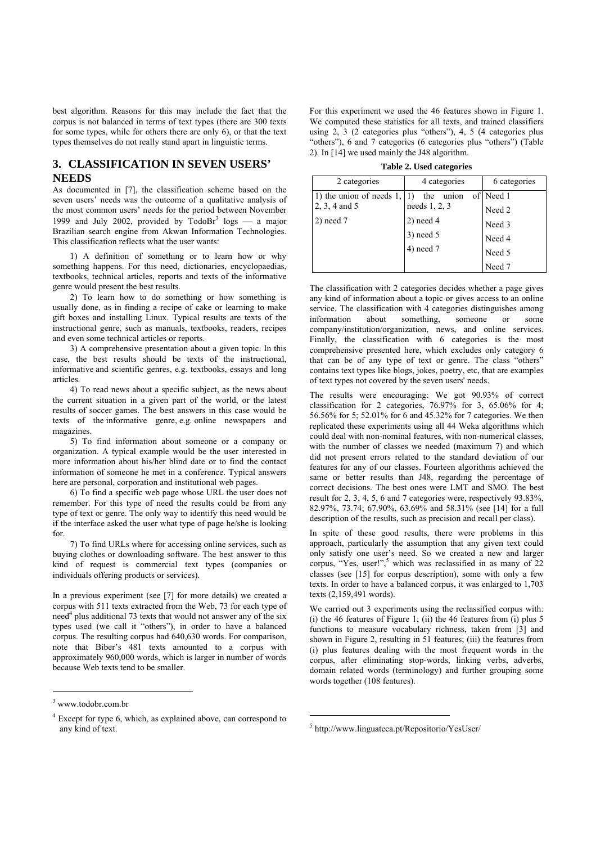best algorithm. Reasons for this may include the fact that the corpus is not balanced in terms of text types (there are 300 texts for some types, while for others there are only 6), or that the text types themselves do not really stand apart in linguistic terms.

# **3. CLASSIFICATION IN SEVEN USERS' NEEDS**

As documented in [7], the classification scheme based on the seven users' needs was the outcome of a qualitative analysis of the most common users' needs for the period between November 1999 and July 2002, provided by  $TodoBr<sup>3</sup> logs$  a major Brazilian search engine from Akwan Information Technologies. This classification reflects what the user wants:

1) A definition of something or to learn how or why something happens. For this need, dictionaries, encyclopaedias, textbooks, technical articles, reports and texts of the informative genre would present the best results.

2) To learn how to do something or how something is usually done, as in finding a recipe of cake or learning to make gift boxes and installing Linux. Typical results are texts of the instructional genre, such as manuals, textbooks, readers, recipes and even some technical articles or reports.

3) A comprehensive presentation about a given topic. In this case, the best results should be texts of the instructional, informative and scientific genres, e.g. textbooks, essays and long articles.

4) To read news about a specific subject, as the news about the current situation in a given part of the world, or the latest results of soccer games. The best answers in this case would be texts of the informative genre, e.g. online newspapers and magazines.

5) To find information about someone or a company or organization. A typical example would be the user interested in more information about his/her blind date or to find the contact information of someone he met in a conference. Typical answers here are personal, corporation and institutional web pages.

6) To find a specific web page whose URL the user does not remember. For this type of need the results could be from any type of text or genre. The only way to identify this need would be if the interface asked the user what type of page he/she is looking for.

7) To find URLs where for accessing online services, such as buying clothes or downloading software. The best answer to this kind of request is commercial text types (companies or individuals offering products or services).

In a previous experiment (see [7] for more details) we created a corpus with 511 texts extracted from the Web, 73 for each type of  $need<sup>4</sup>$  plus additional 73 texts that would not answer any of the six types used (we call it "others"), in order to have a balanced corpus. The resulting corpus had 640,630 words. For comparison, note that Biber's 481 texts amounted to a corpus with approximately 960,000 words, which is larger in number of words because Web texts tend to be smaller.

l

For this experiment we used the 46 features shown in Figure 1. We computed these statistics for all texts, and trained classifiers using  $2, 3$  (2 categories plus "others"),  $4, 5$  (4 categories plus "others"), 6 and 7 categories (6 categories plus "others") (Table 2). In [14] we used mainly the J48 algorithm.

**Table 2. Used categories** 

| 2 categories             | 4 categories  | 6 categories |
|--------------------------|---------------|--------------|
| 1) the union of needs 1, | the<br>union  | of Need 1    |
| $2, 3, 4$ and 5          | needs 1, 2, 3 | Need 2       |
| $2)$ need $7$            | $2)$ need 4   | Need 3       |
|                          | 3) need 5     | Need 4       |
|                          | $4)$ need $7$ | Need 5       |
|                          |               | Need 7       |

The classification with 2 categories decides whether a page gives any kind of information about a topic or gives access to an online service. The classification with 4 categories distinguishes among information about something someone or some company/institution/organization, news, and online services. Finally, the classification with 6 categories is the most comprehensive presented here, which excludes only category 6 that can be of any type of text or genre. The class "others" contains text types like blogs, jokes, poetry, etc, that are examples of text types not covered by the seven users' needs.

The results were encouraging: We got 90.93% of correct classification for 2 categories, 76.97% for 3, 65.06% for 4; 56.56% for 5; 52.01% for 6 and 45.32% for 7 categories. We then replicated these experiments using all 44 Weka algorithms which could deal with non-nominal features, with non-numerical classes, with the number of classes we needed (maximum 7) and which did not present errors related to the standard deviation of our features for any of our classes. Fourteen algorithms achieved the same or better results than J48, regarding the percentage of correct decisions. The best ones were LMT and SMO. The best result for 2, 3, 4, 5, 6 and 7 categories were, respectively 93.83%, 82.97%, 73.74; 67.90%, 63.69% and 58.31% (see [14] for a full description of the results, such as precision and recall per class).

In spite of these good results, there were problems in this approach, particularly the assumption that any given text could only satisfy one user's need. So we created a new and larger corpus, "Yes, user!",<sup>5</sup> which was reclassified in as many of  $22$ classes (see [15] for corpus description), some with only a few texts. In order to have a balanced corpus, it was enlarged to 1,703 texts (2,159,491 words).

We carried out 3 experiments using the reclassified corpus with: (i) the 46 features of Figure 1; (ii) the 46 features from (i) plus 5 functions to measure vocabulary richness, taken from [3] and shown in Figure 2, resulting in 51 features; (iii) the features from (i) plus features dealing with the most frequent words in the corpus, after eliminating stop-words, linking verbs, adverbs, domain related words (terminology) and further grouping some words together (108 features).

l

<sup>3</sup> www.todobr.com.br

<sup>&</sup>lt;sup>4</sup> Except for type 6, which, as explained above, can correspond to any kind of text.

<sup>5</sup> http://www.linguateca.pt/Repositorio/YesUser/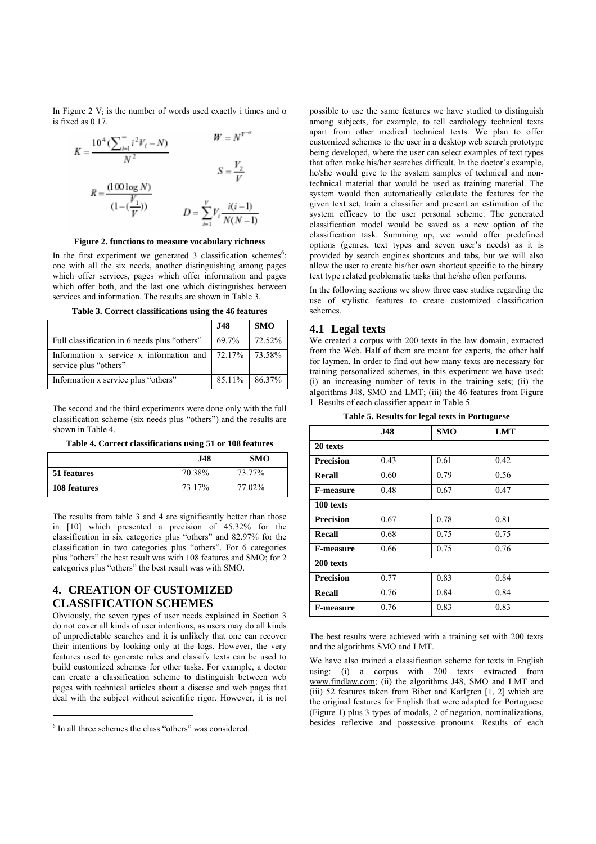In Figure 2 V<sub>i</sub> is the number of words used exactly i times and  $\alpha$ is fixed as 0.17.

$$
K = \frac{10^4 (\sum_{i=1}^{n} i^2 V_i - N)}{N^2}
$$
  
\n
$$
R = \frac{(100 \log N)}{(1 - (\frac{V_1}{V}))}
$$
  
\n
$$
D = \sum_{i=1}^{V} V_i \frac{i(i-1)}{N(N-1)}
$$

#### **Figure 2. functions to measure vocabulary richness**

In the first experiment we generated  $3$  classification schemes<sup>6</sup>: one with all the six needs, another distinguishing among pages which offer services, pages which offer information and pages which offer both, and the last one which distinguishes between services and information. The results are shown in Table 3.

**Table 3. Correct classifications using the 46 features** 

|                                                                  | <b>J48</b> | <b>SMO</b> |
|------------------------------------------------------------------|------------|------------|
| Full classification in 6 needs plus "others"                     | 69.7%      | 72.52%     |
| Information x service x information and<br>service plus "others" | $172.17\%$ | 73.58%     |
| Information x service plus "others"                              | 85.11%     | 86.37%     |

The second and the third experiments were done only with the full classification scheme (six needs plus "others") and the results are shown in Table 4.

**Table 4. Correct classifications using 51 or 108 features** 

|              | J48    | <b>SMO</b> |
|--------------|--------|------------|
| 51 features  | 70.38% | 73.77%     |
| 108 features | 73.17% | 77.02%     |

The results from table 3 and 4 are significantly better than those in [10] which presented a precision of 45.32% for the classification in six categories plus "others" and 82.97% for the classification in two categories plus "others". For 6 categories plus "others" the best result was with 108 features and SMO; for 2 categories plus "others" the best result was with SMO.

# **4. CREATION OF CUSTOMIZED CLASSIFICATION SCHEMES**

Obviously, the seven types of user needs explained in Section 3 do not cover all kinds of user intentions, as users may do all kinds of unpredictable searches and it is unlikely that one can recover their intentions by looking only at the logs. However, the very features used to generate rules and classify texts can be used to build customized schemes for other tasks. For example, a doctor can create a classification scheme to distinguish between web pages with technical articles about a disease and web pages that deal with the subject without scientific rigor. However, it is not

 $\overline{a}$ 

possible to use the same features we have studied to distinguish among subjects, for example, to tell cardiology technical texts apart from other medical technical texts. We plan to offer customized schemes to the user in a desktop web search prototype being developed, where the user can select examples of text types that often make his/her searches difficult. In the doctor's example, he/she would give to the system samples of technical and nontechnical material that would be used as training material. The system would then automatically calculate the features for the given text set, train a classifier and present an estimation of the system efficacy to the user personal scheme. The generated classification model would be saved as a new option of the classification task. Summing up, we would offer predefined options (genres, text types and seven user's needs) as it is provided by search engines shortcuts and tabs, but we will also allow the user to create his/her own shortcut specific to the binary text type related problematic tasks that he/she often performs.

In the following sections we show three case studies regarding the use of stylistic features to create customized classification schemes.

### **4.1 Legal texts**

We created a corpus with 200 texts in the law domain, extracted from the Web. Half of them are meant for experts, the other half for laymen. In order to find out how many texts are necessary for training personalized schemes, in this experiment we have used: (i) an increasing number of texts in the training sets; (ii) the algorithms J48, SMO and LMT; (iii) the 46 features from Figure 1. Results of each classifier appear in Table 5.

| <b>J48</b> | <b>SMO</b> | <b>LMT</b> |  |  |
|------------|------------|------------|--|--|
|            |            |            |  |  |
| 0.43       | 0.61       | 0.42       |  |  |
| 0.60       | 0.79       | 0.56       |  |  |
| 0.48       | 0.67       | 0.47       |  |  |
|            |            |            |  |  |
| 0.67       | 0.78       | 0.81       |  |  |
| 0.68       | 0.75       | 0.75       |  |  |
| 0.66       | 0.75       | 0.76       |  |  |
| 200 texts  |            |            |  |  |
| 0.77       | 0.83       | 0.84       |  |  |
| 0.76       | 0.84       | 0.84       |  |  |
| 0.76       | 0.83       | 0.83       |  |  |
|            |            |            |  |  |

The best results were achieved with a training set with 200 texts and the algorithms SMO and LMT.

We have also trained a classification scheme for texts in English using: (i) a corpus with 200 texts extracted from www.findlaw.com; (ii) the algorithms J48, SMO and LMT and (iii) 52 features taken from Biber and Karlgren [1, 2] which are the original features for English that were adapted for Portuguese (Figure 1) plus 3 types of modals, 2 of negation, nominalizations, besides reflexive and possessive pronouns. Results of each

 $6$  In all three schemes the class "others" was considered.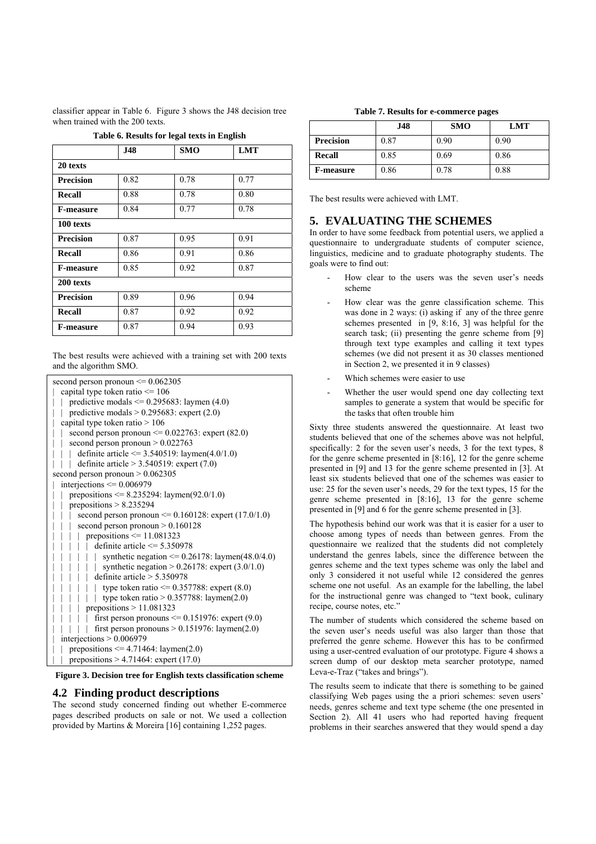classifier appear in Table 6. Figure 3 shows the J48 decision tree when trained with the 200 texts.

|                  |            | Table 6. Results for legal texts in English |            |
|------------------|------------|---------------------------------------------|------------|
|                  | <b>J48</b> | <b>SMO</b>                                  | <b>LMT</b> |
| 20 texts         |            |                                             |            |
| <b>Precision</b> | 0.82       | 0.78                                        | 0.77       |
| Recall           | 0.88       | 0.78                                        | 0.80       |
| <b>F-measure</b> | 0.84       | 0.77                                        | 0.78       |
| 100 texts        |            |                                             |            |
| <b>Precision</b> | 0.87       | 0.95                                        | 0.91       |
| Recall           | 0.86       | 0.91                                        | 0.86       |
| <b>F-measure</b> | 0.85       | 0.92                                        | 0.87       |
| 200 texts        |            |                                             |            |
| <b>Precision</b> | 0.89       | 0.96                                        | 0.94       |
| Recall           | 0.87       | 0.92                                        | 0.92       |
| <b>F-measure</b> | 0.87       | 0.94                                        | 0.93       |

**Table 6. Results for legal texts in English** 

The best results were achieved with a training set with 200 texts and the algorithm SMO.

| second person pronoun $\leq 0.062305$                     |
|-----------------------------------------------------------|
| capital type token ratio $\leq$ 106                       |
| predictive modals $\leq$ 0.295683: laymen (4.0)           |
| predictive modals $> 0.295683$ : expert (2.0)             |
| capital type token ratio $> 106$                          |
| second person pronoun $\leq 0.022763$ : expert (82.0)     |
| second person pronoun $> 0.022763$                        |
| definite article $\le$ 3.540519: laymen(4.0/1.0)          |
| definite article $> 3.540519$ : expert (7.0)              |
| second person pronoun $> 0.062305$                        |
| interjections $\leq 0.006979$                             |
| prepositions $\leq$ 8.235294: laymen(92.0/1.0)            |
| prepositions $> 8.235294$                                 |
| second person pronoun $\leq 0.160128$ : expert (17.0/1.0) |
| second person pronoun $> 0.160128$                        |
| prepositions $\leq 11.081323$                             |
| definite article $\leq$ 5.350978                          |
| synthetic negation $\leq 0.26178$ : laymen(48.0/4.0)      |
| synthetic negation > $0.26178$ : expert $(3.0/1.0)$       |
| definite article $> 5.350978$                             |
| type token ratio $\leq$ 0.357788: expert (8.0)            |
| type token ratio $> 0.357788$ : laymen(2.0)               |
| prepositions $> 11.081323$                                |
| first person pronouns $\leq 0.151976$ : expert (9.0)      |
| first person pronouns $> 0.151976$ : laymen(2.0)          |
| interjections $> 0.006979$                                |
| prepositions $\leq$ 4.71464: laymen(2.0)                  |
| prepositions $> 4.71464$ : expert (17.0)                  |

**Figure 3. Decision tree for English texts classification scheme**

### **4.2 Finding product descriptions**

The second study concerned finding out whether E-commerce pages described products on sale or not. We used a collection provided by Martins & Moreira [16] containing 1,252 pages.

**Table 7. Results for e-commerce pages** 

|                  | .148 | <b>SMO</b> | LMT  |
|------------------|------|------------|------|
| <b>Precision</b> | 0.87 | 0.90       | 0.90 |
| <b>Recall</b>    | 0.85 | 0.69       | 0.86 |
| <b>F-measure</b> | 0.86 | 0.78       | 0.88 |

The best results were achieved with LMT.

### **5. EVALUATING THE SCHEMES**

In order to have some feedback from potential users, we applied a questionnaire to undergraduate students of computer science, linguistics, medicine and to graduate photography students. The goals were to find out:

- How clear to the users was the seven user's needs scheme
- How clear was the genre classification scheme. This was done in 2 ways: (i) asking if any of the three genre schemes presented in [9, 8:16, 3] was helpful for the search task; (ii) presenting the genre scheme from [9] through text type examples and calling it text types schemes (we did not present it as 30 classes mentioned in Section 2, we presented it in 9 classes)
- Which schemes were easier to use
- Whether the user would spend one day collecting text samples to generate a system that would be specific for the tasks that often trouble him

Sixty three students answered the questionnaire. At least two students believed that one of the schemes above was not helpful, specifically: 2 for the seven user's needs, 3 for the text types,  $8$ for the genre scheme presented in [8:16], 12 for the genre scheme presented in [9] and 13 for the genre scheme presented in [3]. At least six students believed that one of the schemes was easier to use: 25 for the seven user's needs, 29 for the text types, 15 for the genre scheme presented in [8:16], 13 for the genre scheme presented in [9] and 6 for the genre scheme presented in [3].

The hypothesis behind our work was that it is easier for a user to choose among types of needs than between genres. From the questionnaire we realized that the students did not completely understand the genres labels, since the difference between the genres scheme and the text types scheme was only the label and only 3 considered it not useful while 12 considered the genres scheme one not useful. As an example for the labelling, the label for the instructional genre was changed to "text book, culinary recipe, course notes, etc."

The number of students which considered the scheme based on the seven user's needs useful was also larger than those that preferred the genre scheme. However this has to be confirmed using a user-centred evaluation of our prototype. Figure 4 shows a screen dump of our desktop meta searcher prototype, named Leva-e-Traz ("takes and brings").

The results seem to indicate that there is something to be gained classifying Web pages using the a priori schemes: seven users' needs, genres scheme and text type scheme (the one presented in Section 2). All 41 users who had reported having frequent problems in their searches answered that they would spend a day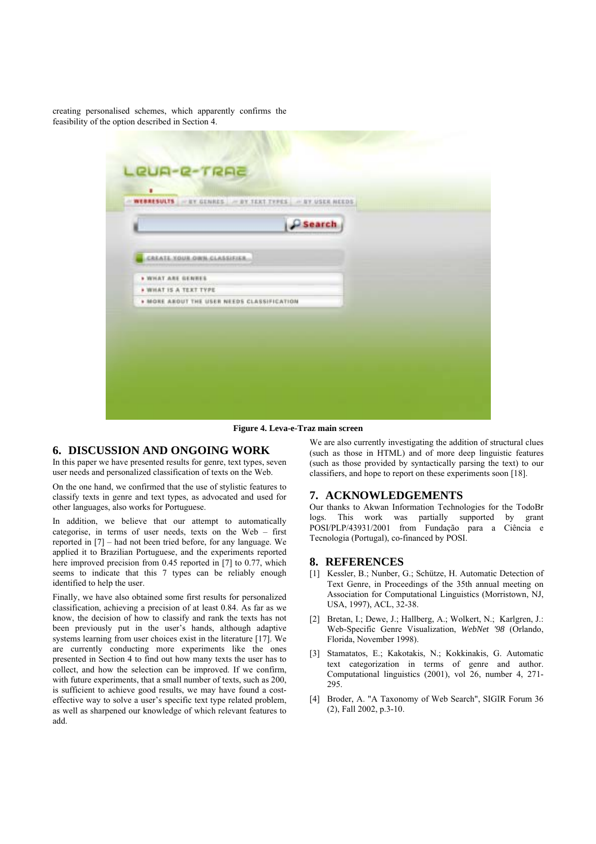creating personalised schemes, which apparently confirms the feasibility of the option described in Section 4.



**Figure 4. Leva-e-Traz main screen**

### **6. DISCUSSION AND ONGOING WORK**

In this paper we have presented results for genre, text types, seven user needs and personalized classification of texts on the Web.

On the one hand, we confirmed that the use of stylistic features to classify texts in genre and text types, as advocated and used for other languages, also works for Portuguese.

In addition, we believe that our attempt to automatically categorise, in terms of user needs, texts on the Web  $-$  first reported in  $[7]$  – had not been tried before, for any language. We applied it to Brazilian Portuguese, and the experiments reported here improved precision from 0.45 reported in [7] to 0.77, which seems to indicate that this 7 types can be reliably enough identified to help the user.

Finally, we have also obtained some first results for personalized classification, achieving a precision of at least 0.84. As far as we know, the decision of how to classify and rank the texts has not been previously put in the user's hands, although adaptive systems learning from user choices exist in the literature [17]. We are currently conducting more experiments like the ones presented in Section 4 to find out how many texts the user has to collect, and how the selection can be improved. If we confirm, with future experiments, that a small number of texts, such as 200, is sufficient to achieve good results, we may have found a costeffective way to solve a user's specific text type related problem, as well as sharpened our knowledge of which relevant features to add.

We are also currently investigating the addition of structural clues (such as those in HTML) and of more deep linguistic features (such as those provided by syntactically parsing the text) to our classifiers, and hope to report on these experiments soon [18].

### **7. ACKNOWLEDGEMENTS**

Our thanks to Akwan Information Technologies for the TodoBr logs. This work was partially supported by grant POSI/PLP/43931/2001 from Fundação para a Ciência e Tecnologia (Portugal), co-financed by POSI.

#### **8. REFERENCES**

- [1] Kessler, B.; Nunber, G.; Schütze, H. Automatic Detection of Text Genre, in Proceedings of the 35th annual meeting on Association for Computational Linguistics (Morristown, NJ, USA, 1997), ACL, 32-38.
- [2] Bretan, I.; Dewe, J.; Hallberg, A.; Wolkert, N.; Karlgren, J.: Web-Specific Genre Visualization, *WebNet '98* (Orlando, Florida, November 1998).
- [3] Stamatatos, E.; Kakotakis, N.; Kokkinakis, G. Automatic text categorization in terms of genre and author. Computational linguistics (2001), vol 26, number 4, 271- 295.
- [4] Broder, A. "A Taxonomy of Web Search", SIGIR Forum 36 (2), Fall 2002, p.3-10.